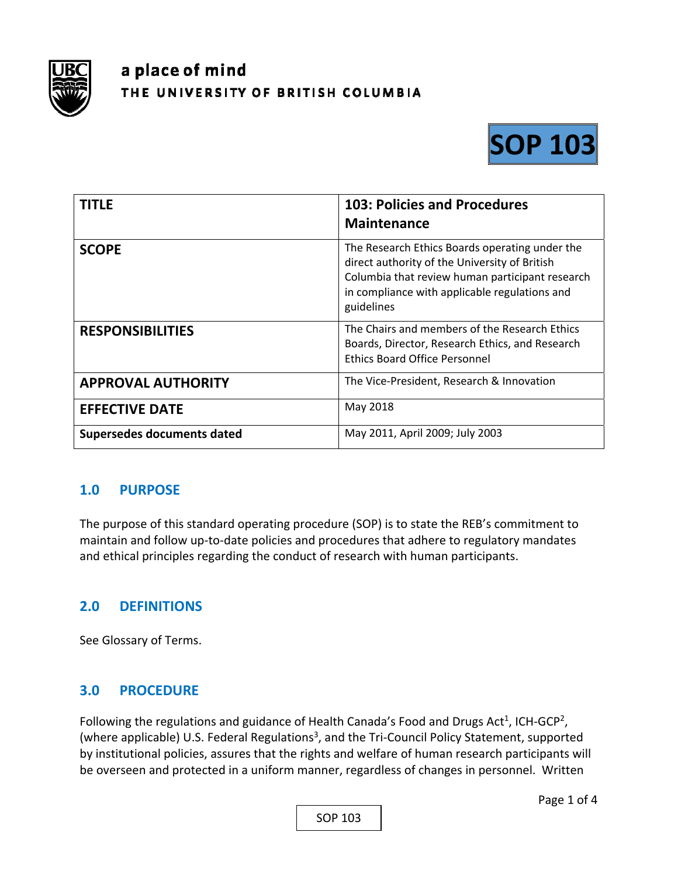

# a place of mind THE UNIVERSITY OF BRITISH COLUMBIA



| <b>TITLE</b>                      | <b>103: Policies and Procedures</b><br><b>Maintenance</b>                                                                                                                                                         |
|-----------------------------------|-------------------------------------------------------------------------------------------------------------------------------------------------------------------------------------------------------------------|
| <b>SCOPE</b>                      | The Research Ethics Boards operating under the<br>direct authority of the University of British<br>Columbia that review human participant research<br>in compliance with applicable regulations and<br>guidelines |
| <b>RESPONSIBILITIES</b>           | The Chairs and members of the Research Ethics<br>Boards, Director, Research Ethics, and Research<br><b>Ethics Board Office Personnel</b>                                                                          |
| <b>APPROVAL AUTHORITY</b>         | The Vice-President, Research & Innovation                                                                                                                                                                         |
| <b>EFFECTIVE DATE</b>             | May 2018                                                                                                                                                                                                          |
| <b>Supersedes documents dated</b> | May 2011, April 2009; July 2003                                                                                                                                                                                   |

#### **1.0 PURPOSE**

The purpose of this standard operating procedure (SOP) is to state the REB's commitment to maintain and follow up‐to‐date policies and procedures that adhere to regulatory mandates and ethical principles regarding the conduct of research with human participants.

#### **2.0 DEFINITIONS**

See Glossary of Terms.

## **3.0 PROCEDURE**

Following the regulations and guidance of Health Canada's Food and Drugs Act<sup>1</sup>, ICH-GCP<sup>2</sup>, (where applicable) U.S. Federal Regulations<sup>3</sup>, and the Tri-Council Policy Statement, supported by institutional policies, assures that the rights and welfare of human research participants will be overseen and protected in a uniform manner, regardless of changes in personnel. Written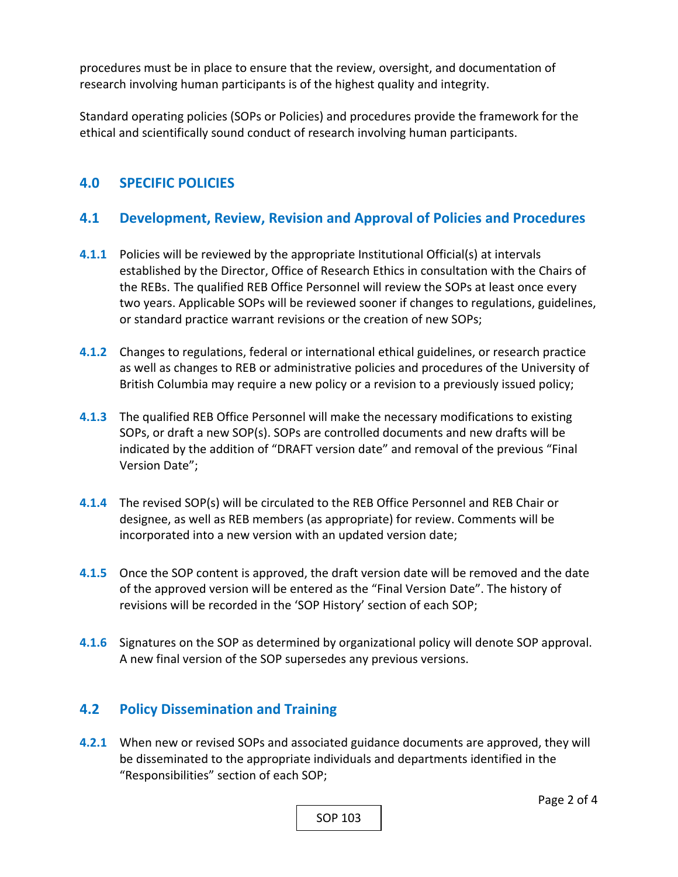procedures must be in place to ensure that the review, oversight, and documentation of research involving human participants is of the highest quality and integrity.

Standard operating policies (SOPs or Policies) and procedures provide the framework for the ethical and scientifically sound conduct of research involving human participants.

### **4.0 SPECIFIC POLICIES**

#### **4.1 Development, Review, Revision and Approval of Policies and Procedures**

- **4.1.1** Policies will be reviewed by the appropriate Institutional Official(s) at intervals established by the Director, Office of Research Ethics in consultation with the Chairs of the REBs. The qualified REB Office Personnel will review the SOPs at least once every two years. Applicable SOPs will be reviewed sooner if changes to regulations, guidelines, or standard practice warrant revisions or the creation of new SOPs;
- **4.1.2** Changes to regulations, federal or international ethical guidelines, or research practice as well as changes to REB or administrative policies and procedures of the University of British Columbia may require a new policy or a revision to a previously issued policy;
- **4.1.3** The qualified REB Office Personnel will make the necessary modifications to existing SOPs, or draft a new SOP(s). SOPs are controlled documents and new drafts will be indicated by the addition of "DRAFT version date" and removal of the previous "Final Version Date";
- **4.1.4** The revised SOP(s) will be circulated to the REB Office Personnel and REB Chair or designee, as well as REB members (as appropriate) for review. Comments will be incorporated into a new version with an updated version date;
- **4.1.5** Once the SOP content is approved, the draft version date will be removed and the date of the approved version will be entered as the "Final Version Date". The history of revisions will be recorded in the 'SOP History' section of each SOP;
- **4.1.6** Signatures on the SOP as determined by organizational policy will denote SOP approval. A new final version of the SOP supersedes any previous versions.

#### **4.2 Policy Dissemination and Training**

**4.2.1**  When new or revised SOPs and associated guidance documents are approved, they will be disseminated to the appropriate individuals and departments identified in the "Responsibilities" section of each SOP;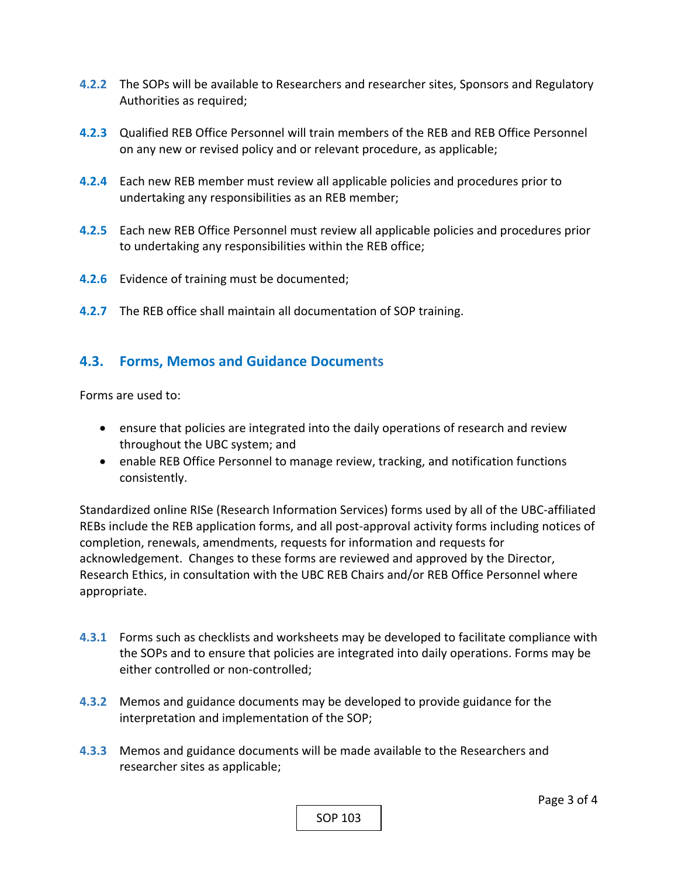- **4.2.2** The SOPs will be available to Researchers and researcher sites, Sponsors and Regulatory Authorities as required;
- **4.2.3**  Qualified REB Office Personnel will train members of the REB and REB Office Personnel on any new or revised policy and or relevant procedure, as applicable;
- **4.2.4**  Each new REB member must review all applicable policies and procedures prior to undertaking any responsibilities as an REB member;
- **4.2.5**  Each new REB Office Personnel must review all applicable policies and procedures prior to undertaking any responsibilities within the REB office;
- **4.2.6**  Evidence of training must be documented;
- **4.2.7**  The REB office shall maintain all documentation of SOP training.

#### **4.3. Forms, Memos and Guidance Documents**

Forms are used to:

- ensure that policies are integrated into the daily operations of research and review throughout the UBC system; and
- enable REB Office Personnel to manage review, tracking, and notification functions consistently.

Standardized online RISe (Research Information Services) forms used by all of the UBC‐affiliated REBs include the REB application forms, and all post‐approval activity forms including notices of completion, renewals, amendments, requests for information and requests for acknowledgement. Changes to these forms are reviewed and approved by the Director, Research Ethics, in consultation with the UBC REB Chairs and/or REB Office Personnel where appropriate.

- **4.3.1** Forms such as checklists and worksheets may be developed to facilitate compliance with the SOPs and to ensure that policies are integrated into daily operations. Forms may be either controlled or non‐controlled;
- **4.3.2** Memos and guidance documents may be developed to provide guidance for the interpretation and implementation of the SOP;
- **4.3.3** Memos and guidance documents will be made available to the Researchers and researcher sites as applicable;